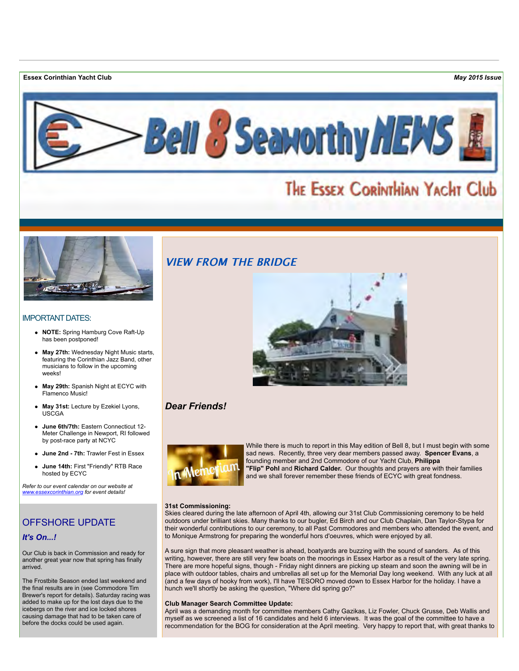**Essex Corinthian Yacht Club** *May 2015 Issue*



# THE ESSEX CORINTHIAN YACHT Club



# IMPORTANT DATES:

- **NOTE:** Spring Hamburg Cove Raft-Up has been postponed!
- **May 27th:** Wednesday Night Music starts, featuring the Corinthian Jazz Band, other musicians to follow in the upcoming weeks!
- **May 29th:** Spanish Night at ECYC with Flamenco Music!
- **May 31st:** Lecture by Ezekiel Lyons, USCGA
- **June 6th/7th:** Eastern Connecticut 12- Meter Challenge in Newport, RI followed by post-race party at NCYC
- **June 2nd 7th:** Trawler Fest in Essex
- **June 14th:** First "Friendly" RTB Race hosted by ECYC

*Refer to our event calendar on our website at [www.essexcorinthian.org](http://r20.rs6.net/tn.jsp?f=001vhy7XdFntivSfmeRE-G8iAp1m9IbGcrl1Wmur9IXgB9327LEomnBEx4V_VMTW1pOW18AoHjsItyW6nnDyimcjNtYgVZA2AhzFPvtmWCOv3qsWcYz-lkLacjckB_QkPUsvDlBEKRzIe7ZA7mPC0r8b_-2SJENrvVKUyaA-GUautvzYRxLVsaGwA==&c=1ZuKJBk05mxg-zrh-6e_2veSOhUwTw9wHNS4e0zTLhrYBub8ajU8LQ==&ch=Fq1NVkp7iWivr-_VFvuvabIH7O2lWgSQNcCyW45NPeKozwXqphFbjA==) for event details!*

# OFFSHORE UPDATE

# *It's On...!*

Our Club is back in Commission and ready for another great year now that spring has finally arrived.

The Frostbite Season ended last weekend and the final results are in (see Commodore Tim Brewer's report for details). Saturday racing was added to make up for the lost days due to the icebergs on the river and ice locked shores causing damage that had to be taken care of before the docks could be used again.



# *Dear Friends!*



While there is much to report in this May edition of Bell 8, but I must begin with some sad news. Recently, three very dear members passed away. **Spencer Evans**, a founding member and 2nd Commodore of our Yacht Club, **Philippa "Flip" Pohl** and **Richard Calder.** Our thoughts and prayers are with their families and we shall forever remember these friends of ECYC with great fondness.

### **31st Commissioning:**

Skies cleared during the late afternoon of April 4th, allowing our 31st Club Commissioning ceremony to be held outdoors under brilliant skies. Many thanks to our bugler, Ed Birch and our Club Chaplain, Dan Taylor-Stypa for their wonderful contributions to our ceremony, to all Past Commodores and members who attended the event, and to Monique Armstrong for preparing the wonderful hors d'oeuvres, which were enjoyed by all.

A sure sign that more pleasant weather is ahead, boatyards are buzzing with the sound of sanders. As of this writing, however, there are still very few boats on the moorings in Essex Harbor as a result of the very late spring. There are more hopeful signs, though - Friday night dinners are picking up steam and soon the awning will be in place with outdoor tables, chairs and umbrellas all set up for the Memorial Day long weekend. With any luck at all (and a few days of hooky from work), I'll have TESORO moved down to Essex Harbor for the holiday. I have a hunch we'll shortly be asking the question, "Where did spring go?"

## **Club Manager Search Committee Update:**

April was a demanding month for committee members Cathy Gazikas, Liz Fowler, Chuck Grusse, Deb Wallis and myself as we screened a list of 16 candidates and held 6 interviews. It was the goal of the committee to have a recommendation for the BOG for consideration at the April meeting. Very happy to report that, with great thanks to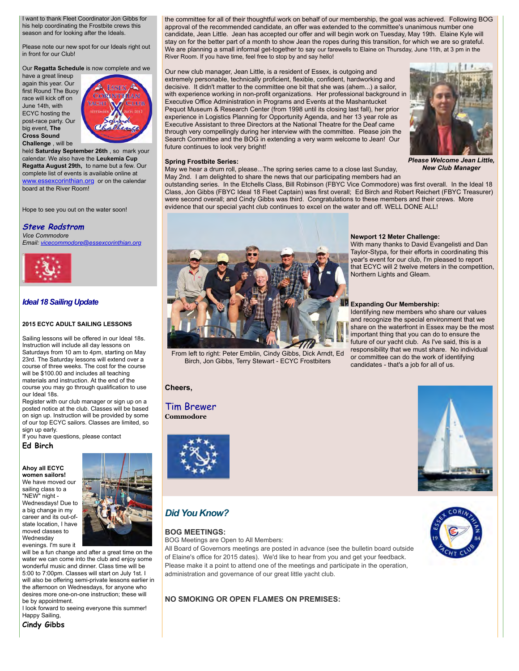I want to thank Fleet Coordinator Jon Gibbs for his help coordinating the Frostbite crews this season and for looking after the Ideals.

Please note our new spot for our Ideals right out in front for our Club!

Our **Regatta Schedule** is now complete and we

have a great lineup again this year. Our first Round The Buoy race will kick off on June 14th, with ECYC hosting the post-race party. Our big event, **The Cross Sound Challenge** , will be



held **Saturday September 26th** , so mark your calendar. We also have the **Leukemia Cup Regatta August 29th,** to name but a few. Our complete list of events is available online at [www.essexcorinthian.org](http://r20.rs6.net/tn.jsp?f=001vhy7XdFntivSfmeRE-G8iAp1m9IbGcrl1Wmur9IXgB9327LEomnBEx4V_VMTW1pOW18AoHjsItyW6nnDyimcjNtYgVZA2AhzFPvtmWCOv3qsWcYz-lkLacjckB_QkPUsvDlBEKRzIe7ZA7mPC0r8b_-2SJENrvVKUyaA-GUautvzYRxLVsaGwA==&c=1ZuKJBk05mxg-zrh-6e_2veSOhUwTw9wHNS4e0zTLhrYBub8ajU8LQ==&ch=Fq1NVkp7iWivr-_VFvuvabIH7O2lWgSQNcCyW45NPeKozwXqphFbjA==) or on the calendar board at the River Room!

Hope to see you out on the water soon!

#### **Steve Rodstrom**

*Vice Commodore Email: [vicecommodore@essexcorinthian.org](mailto:vicecommodore@essexcorinthian.org)*



# *Ideal 18 Sailing Update*

#### **2015 ECYC ADULT SAILING LESSONS**

Sailing lessons will be offered in our Ideal 18s. Instruction will include all day lessons on Saturdays from 10 am to 4pm, starting on May 23rd. The Saturday lessons will extend over a course of three weeks. The cost for the course will be \$100.00 and includes all teaching materials and instruction. At the end of the course you may go through qualification to use our Ideal 18s.

Register with our club manager or sign up on a posted notice at the club. Classes will be based on sign up. Instruction will be provided by some of our top ECYC sailors. Classes are limited, so sign up early.

If you have questions, please contact

# **Ed Birch**

**Ahoy all ECYC women sailors!** We have moved our sailing class to a "NEW" night - Wednesdays! Due to a big change in my career and its out-ofstate location, I have moved classes to Wednesday evenings. I'm sure it



will be a fun change and after a great time on the water we can come into the club and enjoy some wonderful music and dinner. Class time will be 5:00 to 7:00pm. Classes will start on July 1st. I will also be offering semi-private lessons earlier in the afternoon on Wednesdays, for anyone who desires more one-on-one instruction; these will be by appointment.

I look forward to seeing everyone this summer! Happy Sailing,

**Cindy Gibbs**

candidate, Jean Little. Jean has accepted our offer and will begin work on Tuesday, May 19th. Elaine Kyle will stay on for the better part of a month to show Jean the ropes during this transition, for which we are so grateful. We are planning a small informal get-together to say our farewells to Elaine on Thursday, June 11th, at 3 pm in the River Room. If you have time, feel free to stop by and say hello! Our new club manager, Jean Little, is a resident of Essex, is outgoing and

extremely personable, technically proficient, flexible, confident, hardworking and decisive. It didn't matter to the committee one bit that she was (ahem...) a sailor, with experience working in non-profit organizations. Her professional background in Executive Office Administration in Programs and Events at the Mashantucket Pequot Museum & Research Center (from 1998 until its closing last fall), her prior experience in Logistics Planning for Opportunity Agenda, and her 13 year role as Executive Assistant to three Directors at the National Theatre for the Deaf came through very compellingly during her interview with the committee. Please join the Search Committee and the BOG in extending a very warm welcome to Jean! Our future continues to look very bright!

#### **Spring Frostbite Series:**

May we hear a drum roll, please...The spring series came to a close last Sunday, May 2nd. I am delighted to share the news that our participating members had an

#### *Please Welcome Jean Little, New Club Manager*

outstanding series. In the Etchells Class, Bill Robinson (FBYC Vice Commodore) was first overall. In the Ideal 18 Class, Jon Gibbs (FBYC Ideal 18 Fleet Captain) was first overall; Ed Birch and Robert Reichert (FBYC Treasurer) were second overall; and Cindy Gibbs was third. Congratulations to these members and their crews. More evidence that our special yacht club continues to excel on the water and off. WELL DONE ALL!

**Newport 12 Meter Challenge:** 

Northern Lights and Gleam.

**Expanding Our Membership:** 

With many thanks to David Evangelisti and Dan Taylor-Stypa, for their efforts in coordinating this year's event for our club, I'm pleased to report that ECYC will 2 twelve meters in the competition,

Identifying new members who share our values and recognize the special environment that we share on the waterfront in Essex may be the most important thing that you can do to ensure the future of our yacht club. As I've said, this is a responsibility that we must share. No individual or committee can do the work of identifying candidates - that's a job for all of us.

the committee for all of their thoughtful work on behalf of our membership, the goal was achieved. Following BOG approval of the recommended candidate, an offer was extended to the committee's unanimous number one



From left to right: Peter Emblin, Cindy Gibbs, Dick Arndt, Ed Birch, Jon Gibbs, Terry Stewart - ECYC Frostbiters

# **Cheers,**

# Tim Brewer **Commodore**



# *Did You Know?*

# **BOG MEETINGS:**

BOG Meetings are Open to All Members:

All Board of Governors meetings are posted in advance (see the bulletin board outside of Elaine's office for 2015 dates). We'd like to hear from you and get your feedback. Please make it a point to attend one of the meetings and participate in the operation, administration and governance of our great little yacht club.

# **NO SMOKING OR OPEN FLAMES ON PREMISES:**



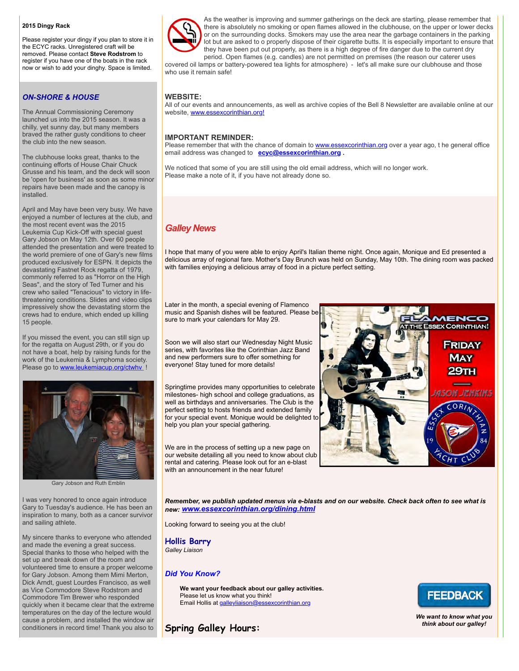### **2015 Dingy Rack**

Please register your dingy if you plan to store it in the ECYC racks. Unregistered craft will be removed. Please contact **Steve Rodstrom** to register if you have one of the boats in the rack now or wish to add your dinghy. Space is limited.

# *ON-SHORE & HOUSE*

The Annual Commissioning Ceremony launched us into the 2015 season. It was a chilly, yet sunny day, but many members braved the rather gusty conditions to cheer the club into the new season.

The clubhouse looks great, thanks to the continuing efforts of House Chair Chuck Grusse and his team, and the deck will soon be 'open for business' as soon as some minor repairs have been made and the canopy is installed.

April and May have been very busy. We have enjoyed a number of lectures at the club, and the most recent event was the 2015 Leukemia Cup Kick-Off with special guest Gary Jobson on May 12th. Over 60 people attended the presentation and were treated to the world premiere of one of Gary's new films produced exclusively for ESPN. It depicts the devastating Fastnet Rock regatta of 1979, commonly referred to as "Horror on the High Seas", and the story of Ted Turner and his crew who sailed "Tenacious" to victory in lifethreatening conditions. Slides and video clips impressively show the devastating storm the crews had to endure, which ended up killing 15 people.

If you missed the event, you can still sign up for the regatta on August 29th, or if you do not have a boat, help by raising funds for the work of the Leukemia & Lymphoma society. Please go to [www.leukemiacup.org/ctwhv](http://r20.rs6.net/tn.jsp?f=001vhy7XdFntivSfmeRE-G8iAp1m9IbGcrl1Wmur9IXgB9327LEomnBE5isoczqbnMsTpo6ZkeSKcI8B8ZK1Jo5N18o3c93m9OZu6qgSLR8PdBvQbWku74_bdz_RIEuU5UMm5ZsFf5Fiadn-x-AM0BcTE_goEniHUMLOHZ_Ciags7pEWcnELi2IGw==&c=1ZuKJBk05mxg-zrh-6e_2veSOhUwTw9wHNS4e0zTLhrYBub8ajU8LQ==&ch=Fq1NVkp7iWivr-_VFvuvabIH7O2lWgSQNcCyW45NPeKozwXqphFbjA==) !



Gary Jobson and Ruth Emblin

I was very honored to once again introduce Gary to Tuesday's audience. He has been an inspiration to many, both as a cancer survivor and sailing athlete.

My sincere thanks to everyone who attended and made the evening a great success. Special thanks to those who helped with the set up and break down of the room and volunteered time to ensure a proper welcome for Gary Jobson. Among them Mimi Merton, Dick Arndt, guest Lourdes Francisco, as well as Vice Commodore Steve Rodstrom and Commodore Tim Brewer who responded quickly when it became clear that the extreme temperatures on the day of the lecture would cause a problem, and installed the window air conditioners in record time! Thank you also to



As the weather is improving and summer gatherings on the deck are starting, please remember that there is absolutely no smoking or open flames allowed in the clubhouse, on the upper or lower decks or on the surrounding docks. Smokers may use the area near the garbage containers in the parking lot but are asked to o properly dispose of their cigarette butts. It is especially important to ensure that they have been put out properly, as there is a high degree of fire danger due to the current dry period. Open flames (e.g. candles) are not permitted on premises (the reason our caterer uses

covered oil lamps or battery-powered tea lights for atmosphere) - let's all make sure our clubhouse and those who use it remain safe!

# **WEBSITE:**

All of our events and announcements, as well as archive copies of the Bell 8 Newsletter are available online at our website, [www.essexcorinthian.org!](http://r20.rs6.net/tn.jsp?f=001vhy7XdFntivSfmeRE-G8iAp1m9IbGcrl1Wmur9IXgB9327LEomnBE_LPut_zFlj9rJLW49kcH2rVkrHg1AbVD73izgs21k712kmyvIbswiFIuO-orLgDjefIXDdRL6CU2V0wZbiIzui6i8ABs2hO7sCASZ7Bu3ylVQbJdgvEQw3Rh7WjXUgizg==&c=1ZuKJBk05mxg-zrh-6e_2veSOhUwTw9wHNS4e0zTLhrYBub8ajU8LQ==&ch=Fq1NVkp7iWivr-_VFvuvabIH7O2lWgSQNcCyW45NPeKozwXqphFbjA==)

# **IMPORTANT REMINDER:**

Please remember that with the chance of domain to [www.essexcorinthian.org](http://r20.rs6.net/tn.jsp?f=001vhy7XdFntivSfmeRE-G8iAp1m9IbGcrl1Wmur9IXgB9327LEomnBEx4V_VMTW1pOW18AoHjsItyW6nnDyimcjNtYgVZA2AhzFPvtmWCOv3qsWcYz-lkLacjckB_QkPUsvDlBEKRzIe7ZA7mPC0r8b_-2SJENrvVKUyaA-GUautvzYRxLVsaGwA==&c=1ZuKJBk05mxg-zrh-6e_2veSOhUwTw9wHNS4e0zTLhrYBub8ajU8LQ==&ch=Fq1NVkp7iWivr-_VFvuvabIH7O2lWgSQNcCyW45NPeKozwXqphFbjA==) over a year ago, t he general office email address was changed to **[ecyc@essexcorinthian.org](mailto:ecyc@essexcorinthian.org) .** 

We noticed that some of you are still using the old email address, which will no longer work. Please make a note of it, if you have not already done so.

# *Galley News*

I hope that many of you were able to enjoy April's Italian theme night. Once again, Monique and Ed presented a delicious array of regional fare. Mother's Day Brunch was held on Sunday, May 10th. The dining room was packed with families enjoying a delicious array of food in a picture perfect setting.

Later in the month, a special evening of Flamenco music and Spanish dishes will be featured. Please be sure to mark your calendars for May 29.

Soon we will also start our Wednesday Night Music series, with favorites like the Corinthian Jazz Band and new performers sure to offer something for everyone! Stay tuned for more details!

Springtime provides many opportunities to celebrate milestones- high school and college graduations, as well as birthdays and anniversaries. The Club is the perfect setting to hosts friends and extended family for your special event. Monique would be delighted to help you plan your special gathering.



We are in the process of setting up a new page on our website detailing all you need to know about club rental and catering. Please look out for an e-blast with an announcement in the near future!

*Remember, we publish updated menus via e-blasts and on our website. Check back often to see what is new: [www.essexcorinthian.org/dining.html](http://r20.rs6.net/tn.jsp?f=001vhy7XdFntivSfmeRE-G8iAp1m9IbGcrl1Wmur9IXgB9327LEomnBE5I5ZHzWHjaRQnCGj_OHz8smJAiP5EVtvPSilt56LbByGi6ykLPXDt_5A9Yp-hF6dibk7HQ5hDVkeLoirSQ_IbQspdwMs7C4lyKybhBvdJVT4qJijtCy7ahSnjQaFDarAoVXrYUZ0McgKWkOEjgCwvs=&c=1ZuKJBk05mxg-zrh-6e_2veSOhUwTw9wHNS4e0zTLhrYBub8ajU8LQ==&ch=Fq1NVkp7iWivr-_VFvuvabIH7O2lWgSQNcCyW45NPeKozwXqphFbjA==)* 

Looking forward to seeing you at the club!

**Hollis Barry** *Galley Liaison*

# *Did You Know?*

**We want your feedback about our galley activities.** Please let us know what you think! Email Hollis at [galleyliaison@essexcorinthian.org](mailto:galleyliaison@essexcorinthian.org)

# **FEEDBACK**

*We want to know what you think about our galley!*

**Spring Galley Hours:**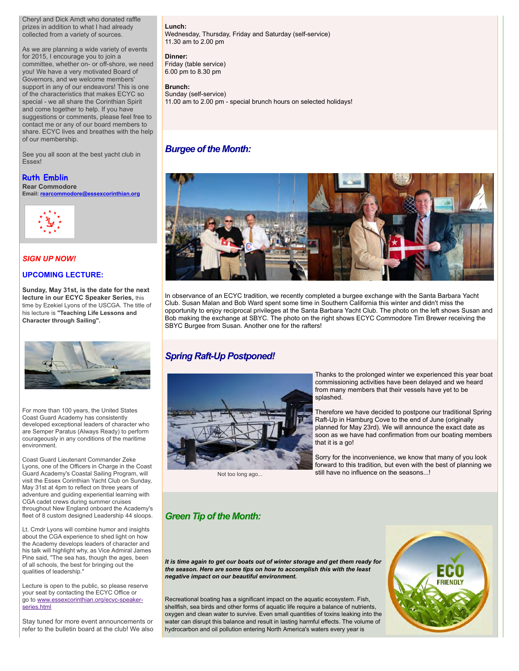Cheryl and Dick Arndt who donated raffle prizes in addition to what I had already collected from a variety of sources.

As we are planning a wide variety of events for 2015, I encourage you to join a committee, whether on- or off-shore, we need you! We have a very motivated Board of Governors, and we welcome members' support in any of our endeavors! This is one of the characteristics that makes ECYC so special - we all share the Corinthian Spirit and come together to help. If you have suggestions or comments, please feel free to contact me or any of our board members to share. ECYC lives and breathes with the help of our membership.

See you all soon at the best yacht club in Essex!

# **Ruth Emblin**

**Rear Commodore Email: [rearcommodore@essexcorinthian.org](mailto:rearcommodore@essexcorinthian.org)**



# *SIGN UP NOW!*

# **UPCOMING LECTURE:**

**Sunday, May 31st, is the date for the next lecture in our ECYC Speaker Series,** this time by Ezekiel Lyons of the USCGA. The title of his lecture is **"Teaching Life Lessons and Character through Sailing".**



For more than 100 years, the United States Coast Guard Academy has consistently developed exceptional leaders of character who are Semper Paratus (Always Ready) to perform courageously in any conditions of the maritime environment.

Coast Guard Lieutenant Commander Zeke Lyons, one of the Officers in Charge in the Coast Guard Academy's Coastal Sailing Program, will visit the Essex Corinthian Yacht Club on Sunday, May 31st at 4pm to reflect on three years of adventure and guiding experiential learning with CGA cadet crews during summer cruises throughout New England onboard the Academy's fleet of 8 custom designed Leadership 44 sloops.

Lt. Cmdr Lyons will combine humor and insights about the CGA experience to shed light on how the Academy develops leaders of character and his talk will highlight why, as Vice Admiral James Pine said, "The sea has, though the ages, been of all schools, the best for bringing out the qualities of leadership."

Lecture is open to the public, so please reserve your seat by contacting the ECYC Office or [go to www.essexcorinthian.org/ecyc-speaker](http://www.essexcorinthian.org/ecyc-speaker-series.html)series.html

Stay tuned for more event announcements or refer to the bulletin board at the club! We also **Lunch:** 

Wednesday, Thursday, Friday and Saturday (self-service) 11.30 am to 2.00 pm

### **Dinner:**

Friday (table service) 6.00 pm to 8.30 pm

# **Brunch:**

Sunday (self-service) 11.00 am to 2.00 pm - special brunch hours on selected holidays!

# *Burgee of the Month:*



In observance of an ECYC tradition, we recently completed a burgee exchange with the Santa Barbara Yacht Club. Susan Malan and Bob Ward spent some time in Southern California this winter and didn't miss the opportunity to enjoy reciprocal privileges at the Santa Barbara Yacht Club. The photo on the left shows Susan and Bob making the exchange at SBYC. The photo on the right shows ECYC Commodore Tim Brewer receiving the SBYC Burgee from Susan. Another one for the rafters!

# *Spring Raft-Up Postponed!*



Not too long ago...

Thanks to the prolonged winter we experienced this year boat commissioning activities have been delayed and we heard from many members that their vessels have yet to be splashed.

Therefore we have decided to postpone our traditional Spring Raft-Up in Hamburg Cove to the end of June (originally planned for May 23rd). We will announce the exact date as soon as we have had confirmation from our boating members that it is a go!

Sorry for the inconvenience, we know that many of you look forward to this tradition, but even with the best of planning we still have no influence on the seasons...!

# *Green Tip of the Month:*

*It is time again to get our boats out of winter storage and get them ready for the season. Here are some tips on how to accomplish this with the least negative impact on our beautiful environment.*

Recreational boating has a significant impact on the aquatic ecosystem. Fish, shellfish, sea birds and other forms of aquatic life require a balance of nutrients, oxygen and clean water to survive. Even small quantities of toxins leaking into the water can disrupt this balance and result in lasting harmful effects. The volume of hydrocarbon and oil pollution entering North America's waters every year is

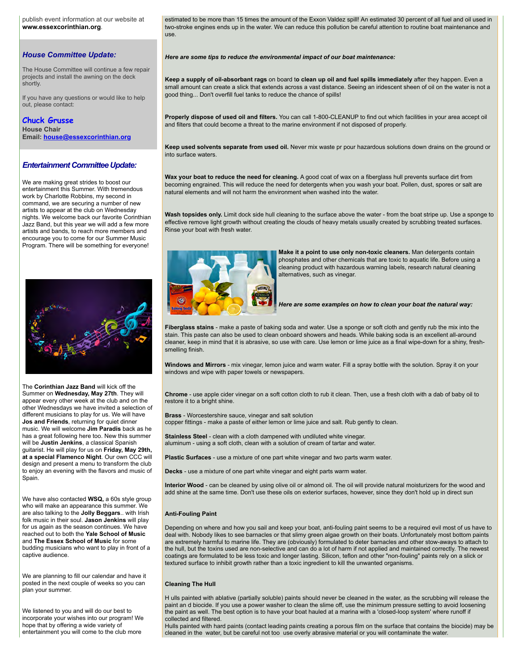publish event information at our website at **[www.essexcorinthian.org](http://r20.rs6.net/tn.jsp?f=001vhy7XdFntivSfmeRE-G8iAp1m9IbGcrl1Wmur9IXgB9327LEomnBEx4V_VMTW1pOW18AoHjsItyW6nnDyimcjNtYgVZA2AhzFPvtmWCOv3qsWcYz-lkLacjckB_QkPUsvDlBEKRzIe7ZA7mPC0r8b_-2SJENrvVKUyaA-GUautvzYRxLVsaGwA==&c=1ZuKJBk05mxg-zrh-6e_2veSOhUwTw9wHNS4e0zTLhrYBub8ajU8LQ==&ch=Fq1NVkp7iWivr-_VFvuvabIH7O2lWgSQNcCyW45NPeKozwXqphFbjA==)**.

# *House Committee Update:*

The House Committee will continue a few repair projects and install the awning on the deck shortly.

If you have any questions or would like to help out, please contact:

# **Chuck Grusse**

**House Chair Email: [house@essexcorinthian.org](mailto:house@essexcorinthian.org)**

#### *Entertainment Committee Update:*

We are making great strides to boost our entertainment this Summer. With tremendous work by Charlotte Robbins, my second in command, we are securing a number of new artists to appear at the club on Wednesday nights. We welcome back our favorite Corinthian Jazz Band, but this year we will add a few more artists and bands, to reach more members and encourage you to come for our Summer Music Program. There will be something for everyone!



The **Corinthian Jazz Band** will kick off the Summer on **Wednesday, May 27th**. They will appear every other week at the club and on the other Wednesdays we have invited a selection of different musicians to play for us. We will have **Jos and Friends**, returning for quiet dinner music. We will welcome **Jim Paradis** back as he has a great following here too. New this summer will be **Justin Jenkins**, a classical Spanish guitarist. He will play for us on **Friday, May 29th, at a special Flamenco Night**. Our own CCC will design and present a menu to transform the club to enjoy an evening with the flavors and music of Spain.

We have also contacted **WSQ,** a 60s style group who will make an appearance this summer. We are also talking to the **Jolly Beggars**.. with Irish folk music in their soul. **Jason Jenkins** will play for us again as the season continues. We have reached out to both the **Yale School of Music** and **The Essex School of Music** for some budding musicians who want to play in front of a captive audience.

We are planning to fill our calendar and have it posted in the next couple of weeks so you can plan your summer.

We listened to you and will do our best to incorporate your wishes into our program! We hope that by offering a wide variety of entertainment you will come to the club more

estimated to be more than 15 times the amount of the Exxon Valdez spill! An estimated 30 percent of all fuel and oil used in two-stroke engines ends up in the water. We can reduce this pollution be careful attention to routine boat maintenance and use.

*Here are some tips to reduce the environmental impact of our boat maintenance:*

**Keep a supply of oil-absorbant rags** on board t**o clean up oil and fuel spills immediately** after they happen. Even a small amount can create a slick that extends across a vast distance. Seeing an iridescent sheen of oil on the water is not a good thing... Don't overfill fuel tanks to reduce the chance of spills!

**Properly dispose of used oil and filters.** You can call 1-800-CLEANUP to find out which facilities in your area accept oil and filters that could become a threat to the marine environment if not disposed of properly.

**Keep used solvents separate from used oil.** Never mix waste pr pour hazardous solutions down drains on the ground or into surface waters.

**Wax your boat to reduce the need for cleaning.** A good coat of wax on a fiberglass hull prevents surface dirt from becoming engrained. This will reduce the need for detergents when you wash your boat. Pollen, dust, spores or salt are natural elements and will not harm the environment when washed into the water.

**Wash topsides only.** Limit dock side hull cleaning to the surface above the water - from the boat stripe up. Use a sponge to effective remove light growth without creating the clouds of heavy metals usually created by scrubbing treated surfaces. Rinse your boat with fresh water.



**Make it a point to use only non-toxic cleaners.** Man detergents contain phosphates and other chemicals that are toxic to aquatic life. Before using a cleaning product with hazardous warning labels, research natural cleaning alternatives, such as vinegar.

*Here are some examples on how to clean your boat the natural way:*

**Fiberglass stains** - make a paste of baking soda and water. Use a sponge or soft cloth and gently rub the mix into the stain. This paste can also be used to clean onboard showers and heads. While baking soda is an excellent all-around cleaner, keep in mind that it is abrasive, so use with care. Use lemon or lime juice as a final wipe-down for a shiny, freshsmelling finish.

**Windows and Mirrors** - mix vinegar, lemon juice and warm water. Fill a spray bottle with the solution. Spray it on your windows and wipe with paper towels or newspapers.

**Chrome** - use apple cider vinegar on a soft cotton cloth to rub it clean. Then, use a fresh cloth with a dab of baby oil to restore it to a bright shine.

**Brass** - Worcestershire sauce, vinegar and salt solution copper fittings - make a paste of either lemon or lime juice and salt. Rub gently to clean.

**Stainless Steel** - clean with a cloth dampened with undiluted white vinegar. aluminum - using a soft cloth, clean with a solution of cream of tartar and water.

**Plastic Surfaces** - use a mixture of one part white vinegar and two parts warm water.

**Decks** - use a mixture of one part white vinegar and eight parts warm water.

**Interior Wood** - can be cleaned by using olive oil or almond oil. The oil will provide natural moisturizers for the wood and add shine at the same time. Don't use these oils on exterior surfaces, however, since they don't hold up in direct sun

#### **Anti-Fouling Paint**

Depending on where and how you sail and keep your boat, anti-fouling paint seems to be a required evil most of us have to deal with. Nobody likes to see barnacles or that slimy green algae growth on their boats. Unfortunately most bottom paints are extremely harmful to marine life. They are (obviously) formulated to deter barnacles and other stow-aways to attach to the hull, but the toxins used are non-selective and can do a lot of harm if not applied and maintained correctly. The newest coatings are formulated to be less toxic and longer lasting. Silicon, teflon and other "non-fouling" paints rely on a slick or textured surface to inhibit growth rather than a toxic ingredient to kill the unwanted organisms.

#### **Cleaning The Hull**

H ulls painted with ablative (partially soluble) paints should never be cleaned in the water, as the scrubbing will release the paint an d biocide. If you use a power washer to clean the slime off, use the minimum pressure setting to avoid loosening the paint as well. The best option is to have your boat hauled at a marina with a 'closed-loop system' where runoff if collected and filtered.

Hulls painted with hard paints (contact leading paints creating a porous film on the surface that contains the biocide) may be cleaned in the water, but be careful not too use overly abrasive material or you will contaminate the water.